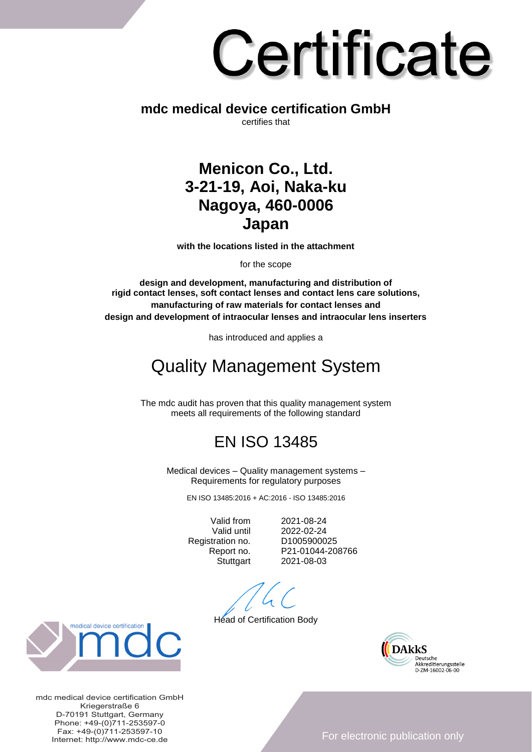# Certificate

### **mdc medical device certification GmbH** certifies that

## **Menicon Co., Ltd. 3-21-19, Aoi, Naka-ku Nagoya, 460-0006 Japan**

**with the locations listed in the attachment**

for the scope

**design and development, manufacturing and distribution of rigid contact lenses, soft contact lenses and contact lens care solutions, manufacturing of raw materials for contact lenses and design and development of intraocular lenses and intraocular lens inserters**

has introduced and applies a

# Quality Management System

The mdc audit has proven that this quality management system meets all requirements of the following standard

## EN ISO 13485

Medical devices – Quality management systems – Requirements for regulatory purposes

EN ISO 13485:2016 + AC:2016 - ISO 13485:2016

Registration no. D1005900025

Valid from 2021-08-24 Valid until 2022-02-24 Report no. P21-01044-208766 Stuttgart 2021-08-03

Head of Certification Body





mdc medical device certification GmbH Kriegerstraße 6 D-70191 Stuttgart, Germany Phone: +49-(0)711-253597-0 Fax: +49-(0)711-253597-10 Internet: http://www.mdc-ce.de

For electronic publication only